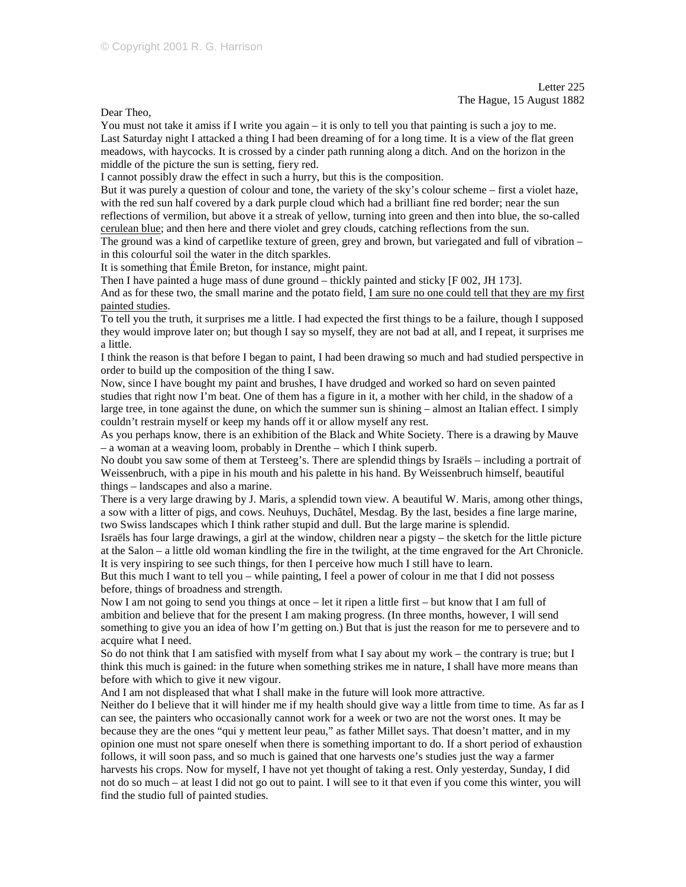Letter 225 The Hague, 15 August 1882

Dear Theo,

You must not take it amiss if I write you again – it is only to tell you that painting is such a joy to me. Last Saturday night I attacked a thing I had been dreaming of for a long time. It is a view of the flat green meadows, with haycocks. It is crossed by a cinder path running along a ditch. And on the horizon in the middle of the picture the sun is setting, fiery red.

I cannot possibly draw the effect in such a hurry, but this is the composition.

But it was purely a question of colour and tone, the variety of the sky's colour scheme – first a violet haze, with the red sun half covered by a dark purple cloud which had a brilliant fine red border; near the sun reflections of vermilion, but above it a streak of yellow, turning into green and then into blue, the so-called cerulean blue; and then here and there violet and grey clouds, catching reflections from the sun.

The ground was a kind of carpetlike texture of green, grey and brown, but variegated and full of vibration – in this colourful soil the water in the ditch sparkles.

It is something that Émile Breton, for instance, might paint.

Then I have painted a huge mass of dune ground – thickly painted and sticky [F 002, JH 173].

And as for these two, the small marine and the potato field, I am sure no one could tell that they are my first painted studies.

To tell you the truth, it surprises me a little. I had expected the first things to be a failure, though I supposed they would improve later on; but though I say so myself, they are not bad at all, and I repeat, it surprises me a little.

I think the reason is that before I began to paint, I had been drawing so much and had studied perspective in order to build up the composition of the thing I saw.

Now, since I have bought my paint and brushes, I have drudged and worked so hard on seven painted studies that right now I'm beat. One of them has a figure in it, a mother with her child, in the shadow of a large tree, in tone against the dune, on which the summer sun is shining – almost an Italian effect. I simply couldn't restrain myself or keep my hands off it or allow myself any rest.

As you perhaps know, there is an exhibition of the Black and White Society. There is a drawing by Mauve – a woman at a weaving loom, probably in Drenthe – which I think superb.

No doubt you saw some of them at Tersteeg's. There are splendid things by Israëls – including a portrait of Weissenbruch, with a pipe in his mouth and his palette in his hand. By Weissenbruch himself, beautiful things – landscapes and also a marine.

There is a very large drawing by J. Maris, a splendid town view. A beautiful W. Maris, among other things, a sow with a litter of pigs, and cows. Neuhuys, Duchâtel, Mesdag. By the last, besides a fine large marine, two Swiss landscapes which I think rather stupid and dull. But the large marine is splendid.

Israëls has four large drawings, a girl at the window, children near a pigsty – the sketch for the little picture at the Salon – a little old woman kindling the fire in the twilight, at the time engraved for the Art Chronicle. It is very inspiring to see such things, for then I perceive how much I still have to learn.

But this much I want to tell you – while painting, I feel a power of colour in me that I did not possess before, things of broadness and strength.

Now I am not going to send you things at once – let it ripen a little first – but know that I am full of ambition and believe that for the present I am making progress. (In three months, however, I will send something to give you an idea of how I'm getting on.) But that is just the reason for me to persevere and to acquire what I need.

So do not think that I am satisfied with myself from what I say about my work – the contrary is true; but I think this much is gained: in the future when something strikes me in nature, I shall have more means than before with which to give it new vigour.

And I am not displeased that what I shall make in the future will look more attractive.

Neither do I believe that it will hinder me if my health should give way a little from time to time. As far as I can see, the painters who occasionally cannot work for a week or two are not the worst ones. It may be because they are the ones "qui y mettent leur peau," as father Millet says. That doesn't matter, and in my opinion one must not spare oneself when there is something important to do. If a short period of exhaustion follows, it will soon pass, and so much is gained that one harvests one's studies just the way a farmer harvests his crops. Now for myself, I have not yet thought of taking a rest. Only yesterday, Sunday, I did not do so much – at least I did not go out to paint. I will see to it that even if you come this winter, you will find the studio full of painted studies.